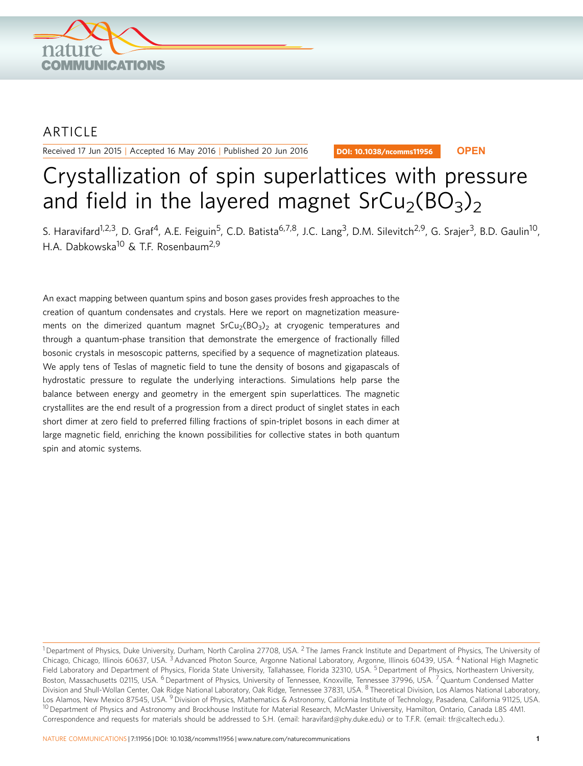

## ARTICLE

Received 17 Jun 2015 | Accepted 16 May 2016 | Published 20 Jun 2016

DOI: 10.1038/ncomms11956 **OPEN**

# Crystallization of spin superlattices with pressure and field in the layered magnet  $SrCu<sub>2</sub>(BO<sub>3</sub>)<sub>2</sub>$

S. Haravifard<sup>1,2,3</sup>, D. Graf<sup>4</sup>, A.E. Feiguin<sup>5</sup>, C.D. Batista<sup>6,7,8</sup>, J.C. Lang<sup>3</sup>, D.M. Silevitch<sup>2,9</sup>, G. Srajer<sup>3</sup>, B.D. Gaulin<sup>10</sup>, H.A. Dabkowska<sup>10</sup> & T.F. Rosenbaum<sup>2,9</sup>

An exact mapping between quantum spins and boson gases provides fresh approaches to the creation of quantum condensates and crystals. Here we report on magnetization measurements on the dimerized quantum magnet  $SrCu<sub>2</sub>(BO<sub>3</sub>)<sub>2</sub>$  at cryogenic temperatures and through a quantum-phase transition that demonstrate the emergence of fractionally filled bosonic crystals in mesoscopic patterns, specified by a sequence of magnetization plateaus. We apply tens of Teslas of magnetic field to tune the density of bosons and gigapascals of hydrostatic pressure to regulate the underlying interactions. Simulations help parse the balance between energy and geometry in the emergent spin superlattices. The magnetic crystallites are the end result of a progression from a direct product of singlet states in each short dimer at zero field to preferred filling fractions of spin-triplet bosons in each dimer at large magnetic field, enriching the known possibilities for collective states in both quantum spin and atomic systems.

<sup>&</sup>lt;sup>1</sup> Department of Physics, Duke University, Durham, North Carolina 27708, USA. <sup>2</sup> The James Franck Institute and Department of Physics, The University of Chicago, Chicago, Illinois 60637, USA.<sup>3</sup> Advanced Photon Source, Argonne National Laboratory, Argonne, Illinois 60439, USA.<sup>4</sup> National High Magnetic Field Laboratory and Department of Physics, Florida State University, Tallahassee, Florida 32310, USA. <sup>5</sup> Department of Physics, Northeastern University, Boston, Massachusetts 02115, USA. <sup>6</sup> Department of Physics, University of Tennessee, Knoxville, Tennessee 37996, USA. <sup>7</sup> Quantum Condensed Matter Division and Shull-Wollan Center, Oak Ridge National Laboratory, Oak Ridge, Tennessee 37831, USA. <sup>8</sup> Theoretical Division, Los Alamos National Laboratory, Los Alamos, New Mexico 87545, USA. <sup>9</sup> Division of Physics, Mathematics & Astronomy, California Institute of Technology, Pasadena, California 91125, USA. <sup>10</sup> Department of Physics and Astronomy and Brockhouse Institute for Material Research, McMaster University, Hamilton, Ontario, Canada L8S 4M1. Correspondence and requests for materials should be addressed to S.H. (email: [haravifard@phy.duke.edu\)](mailto:haravifard@phy.duke.edu) or to T.F.R. (email: [tfr@caltech.edu.\)](mailto:tfr@caltech.edu.).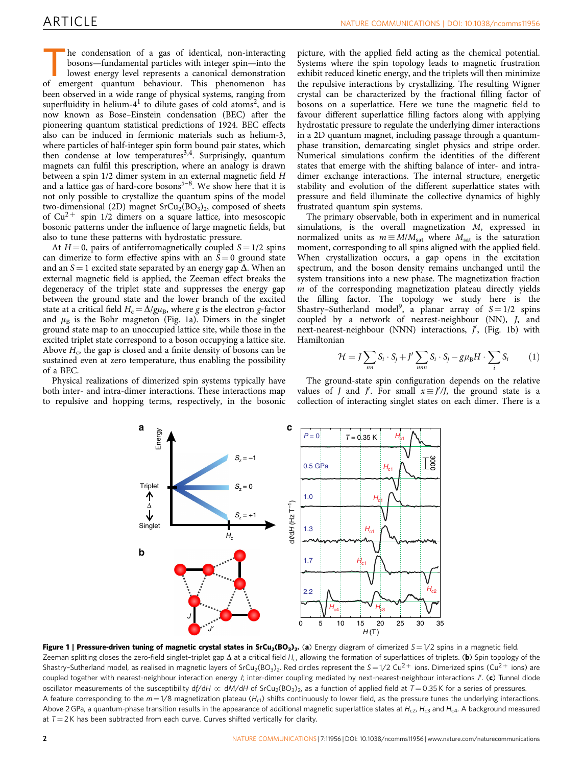<span id="page-1-0"></span>he condensation of a gas of identical, non-interacting bosons—fundamental particles with integer spin—into the lowest energy level represents a canonical demonstration of emergent quantum behaviour. This phenomenon has been observed in a wide range of physical systems, ranging from superfluidity in helium- $4<sup>1</sup>$  $4<sup>1</sup>$  $4<sup>1</sup>$  to dilute gases of cold atoms<sup>2</sup>, and is now known as Bose–Einstein condensation (BEC) after the pioneering quantum statistical predictions of 1924. BEC effects also can be induced in fermionic materials such as helium-3, where particles of half-integer spin form bound pair states, which then condense at low temperatures<sup>[3,4](#page-4-0)</sup>. Surprisingly, quantum magnets can fulfil this prescription, where an analogy is drawn between a spin 1/2 dimer system in an external magnetic field H and a lattice gas of hard-core bosons<sup>5-8</sup>. We show here that it is not only possible to crystallize the quantum spins of the model two-dimensional (2D) magnet  $SrCu<sub>2</sub>(BO<sub>3</sub>)<sub>2</sub>$ , composed of sheets of  $Cu^{2+}$  spin 1/2 dimers on a square lattice, into mesoscopic bosonic patterns under the influence of large magnetic fields, but also to tune these patterns with hydrostatic pressure.

At  $H = 0$ , pairs of antiferromagnetically coupled  $S = 1/2$  spins can dimerize to form effective spins with an  $S = 0$  ground state and an  $S = 1$  excited state separated by an energy gap  $\Delta$ . When an external magnetic field is applied, the Zeeman effect breaks the degeneracy of the triplet state and suppresses the energy gap between the ground state and the lower branch of the excited state at a critical field  $H_c = \Delta/g\mu_B$ , where g is the electron g-factor and  $\mu_B$  is the Bohr magneton (Fig. 1a). Dimers in the singlet ground state map to an unoccupied lattice site, while those in the excited triplet state correspond to a boson occupying a lattice site. Above  $H_c$ , the gap is closed and a finite density of bosons can be sustained even at zero temperature, thus enabling the possibility of a BEC.

Physical realizations of dimerized spin systems typically have both inter- and intra-dimer interactions. These interactions map to repulsive and hopping terms, respectively, in the bosonic

picture, with the applied field acting as the chemical potential. Systems where the spin topology leads to magnetic frustration exhibit reduced kinetic energy, and the triplets will then minimize the repulsive interactions by crystallizing. The resulting Wigner crystal can be characterized by the fractional filling factor of bosons on a superlattice. Here we tune the magnetic field to favour different superlattice filling factors along with applying hydrostatic pressure to regulate the underlying dimer interactions in a 2D quantum magnet, including passage through a quantumphase transition, demarcating singlet physics and stripe order. Numerical simulations confirm the identities of the different states that emerge with the shifting balance of inter- and intradimer exchange interactions. The internal structure, energetic stability and evolution of the different superlattice states with pressure and field illuminate the collective dynamics of highly frustrated quantum spin systems.

The primary observable, both in experiment and in numerical simulations, is the overall magnetization M, expressed in normalized units as  $m \equiv M/M<sub>sat</sub>$  where  $M<sub>sat</sub>$  is the saturation moment, corresponding to all spins aligned with the applied field. When crystallization occurs, a gap opens in the excitation spectrum, and the boson density remains unchanged until the system transitions into a new phase. The magnetization fraction  $m$  of the corresponding magnetization plateau directly yields the filling factor. The topology we study here is the Shastry–Sutherland model<sup>9</sup>, a planar array of  $S = 1/2$  spins coupled by a network of nearest-neighbour (NN), J, and next-nearest-neighbour (NNN) interactions,  $J'$ , (Fig. 1b) with Hamiltonian

$$
\mathcal{H} = J \sum_{nn} S_i \cdot S_j + J' \sum_{nnn} S_i \cdot S_j - g\mu_B H \cdot \sum_i S_i \tag{1}
$$

The ground-state spin configuration depends on the relative values of *J* and *J'*. For small  $x \equiv J'/J$ , the ground state is a collection of interacting singlet states on each dimer. There is a



Figure 1 | Pressure-driven tuning of magnetic crystal states in SrCu<sub>2</sub>(BO<sub>3</sub>)<sub>2</sub>. (a) Energy diagram of dimerized S=1/2 spins in a magnetic field. Zeeman splitting closes the zero-field singlet-triplet gap  $\Delta$  at a critical field H<sub>c</sub>, allowing the formation of superlattices of triplets. (b) Spin topology of the Shastry-Sutherland model, as realised in magnetic layers of SrCu<sub>2</sub>(BO<sub>3</sub>)<sub>2</sub>. Red circles represent the S=1/2 Cu<sup>2+</sup> ions. Dimerized spins (Cu<sup>2+</sup> ions) are coupled together with nearest-neighbour interaction energy J; inter-dimer coupling mediated by next-nearest-neighbour interactions J'. (c) Tunnel diode oscillator measurements of the susceptibility df/dH  $\propto$  dM/dH of SrCu<sub>2</sub>(BO<sub>3</sub>)<sub>2</sub>, as a function of applied field at T = 0.35 K for a series of pressures. A feature corresponding to the  $m = 1/8$  magnetization plateau (H<sub>c1</sub>) shifts continuously to lower field, as the pressure tunes the underlying interactions. Above 2 GPa, a quantum-phase transition results in the appearance of additional magnetic superlattice states at  $H_{c2}$ ,  $H_{c3}$  and  $H_{c4}$ . A background measured at  $T = 2$  K has been subtracted from each curve. Curves shifted vertically for clarity.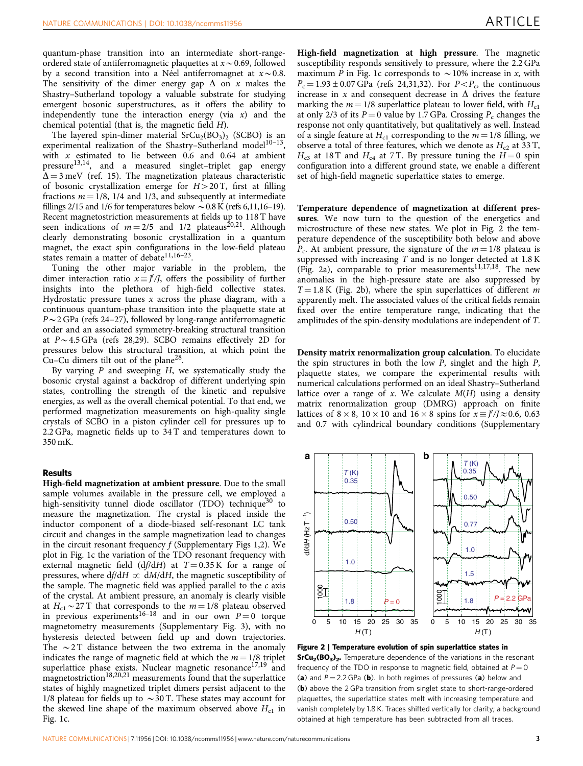quantum-phase transition into an intermediate short-rangeordered state of antiferromagnetic plaquettes at  $x \sim 0.69$ , followed by a second transition into a Ne<sup>el</sup> antiferromagnet at  $x \sim 0.8$ . The sensitivity of the dimer energy gap  $\Delta$  on x makes the Shastry–Sutherland topology a valuable substrate for studying emergent bosonic superstructures, as it offers the ability to independently tune the interaction energy (via  $x$ ) and the chemical potential (that is, the magnetic field H).

The layered spin-dimer material  $SrCu<sub>2</sub>(BO<sub>3</sub>)<sub>2</sub>$  (SCBO) is an experimental realization of the Shastry-Sutherland model<sup>10-13</sup>, with  $x$  estimated to lie between 0.6 and 0.64 at ambient pressure<sup>[13,14](#page-5-0)</sup>, and a measured singlet-triplet gap energy  $\overline{\Delta} = 3$  meV ([ref. 15](#page-5-0)). The magnetization plateaus characteristic of bosonic crystallization emerge for  $H > 20$  T, first at filling fractions  $m = 1/8$ , 1/4 and 1/3, and subsequently at intermediate fillings 2/15 and 1/6 for temperatures below  $\sim 0.8$  K [\(refs 6,11,16–19\)](#page-5-0). Recent magnetostriction measurements at fields up to 118 T have seen indications of  $m = 2/5$  and 1/2 plateaus<sup>20,21</sup>. Although clearly demonstrating bosonic crystallization in a quantum magnet, the exact spin configurations in the low-field plateau states remain a matter of debate<sup>11,16-23</sup>.

Tuning the other major variable in the problem, the dimer interaction ratio  $x \equiv J'/J$ , offers the possibility of further insights into the plethora of high-field collective states. Hydrostatic pressure tunes  $x$  across the phase diagram, with a continuous quantum-phase transition into the plaquette state at  $P \sim 2$  GPa ([refs 24–27\)](#page-5-0), followed by long-range antiferromagnetic order and an associated symmetry-breaking structural transition at  $P \sim 4.5$  GPa ([refs 28,29\)](#page-5-0). SCBO remains effectively 2D for pressures below this structural transition, at which point the Cu–Cu dimers tilt out of the plane[28.](#page-5-0)

By varying  $P$  and sweeping  $H$ , we systematically study the bosonic crystal against a backdrop of different underlying spin states, controlling the strength of the kinetic and repulsive energies, as well as the overall chemical potential. To that end, we performed magnetization measurements on high-quality single crystals of SCBO in a piston cylinder cell for pressures up to 2.2 GPa, magnetic fields up to 34 T and temperatures down to 350 mK.

#### Results

High-field magnetization at ambient pressure. Due to the small sample volumes available in the pressure cell, we employed a high-sensitivity tunnel diode oscillator (TDO) technique<sup>[30](#page-5-0)</sup> to measure the magnetization. The crystal is placed inside the inductor component of a diode-biased self-resonant LC tank circuit and changes in the sample magnetization lead to changes in the circuit resonant frequency  $f$  (Supplementary Figs 1,2). We plot in [Fig. 1c](#page-1-0) the variation of the TDO resonant frequency with external magnetic field  $(df/dH)$  at  $T = 0.35$  K for a range of pressures, where  $df/dH \propto dM/dH$ , the magnetic susceptibility of the sample. The magnetic field was applied parallel to the  $c$  axis of the crystal. At ambient pressure, an anomaly is clearly visible at  $H_{c1} \sim 27$  T that corresponds to the  $m = 1/8$  plateau observed in previous experiments<sup>[16–18](#page-5-0)</sup> and in our own  $P = 0$  torque magnetometry measurements (Supplementary Fig. 3), with no hysteresis detected between field up and down trajectories. The  $\sim$  2 T distance between the two extrema in the anomaly indicates the range of magnetic field at which the  $m = 1/8$  triplet superlattice phase exists. Nuclear magnetic resonance<sup>[17,19](#page-5-0)</sup> and magnetostriction<sup>[18,20,21](#page-5-0)</sup> measurements found that the superlattice states of highly magnetized triplet dimers persist adjacent to the 1/8 plateau for fields up to  $\sim$  30 T. These states may account for the skewed line shape of the maximum observed above  $H_{c1}$  in [Fig. 1c](#page-1-0).

High-field magnetization at high pressure. The magnetic susceptibility responds sensitively to pressure, where the 2.2 GPa maximum P in [Fig. 1c](#page-1-0) corresponds to  $\sim$  10% increase in x, with  $P_c = 1.93 \pm 0.07$  GPa [\(refs 24,31,32](#page-5-0)). For  $P < P_c$ , the continuous increase in x and consequent decrease in  $\Delta$  drives the feature marking the  $m = 1/8$  superlattice plateau to lower field, with  $H_{c1}$ at only 2/3 of its  $P = 0$  value by 1.7 GPa. Crossing  $P_c$  changes the response not only quantitatively, but qualitatively as well. Instead of a single feature at  $H_{c1}$  corresponding to the  $m = 1/8$  filling, we observe a total of three features, which we denote as  $H_{c2}$  at 33 T,  $H<sub>c3</sub>$  at 18 T and  $H<sub>c4</sub>$  at 7 T. By pressure tuning the  $H = 0$  spin configuration into a different ground state, we enable a different set of high-field magnetic superlattice states to emerge.

Temperature dependence of magnetization at different pressures. We now turn to the question of the energetics and microstructure of these new states. We plot in Fig. 2 the temperature dependence of the susceptibility both below and above  $P_c$ . At ambient pressure, the signature of the  $m = 1/8$  plateau is suppressed with increasing  $T$  and is no longer detected at  $1.8 K$ (Fig. 2a), comparable to prior measurements $11,17,18$ . The new anomalies in the high-pressure state are also suppressed by  $T = 1.8$  K (Fig. 2b), where the spin superlattices of different m apparently melt. The associated values of the critical fields remain fixed over the entire temperature range, indicating that the amplitudes of the spin-density modulations are independent of T.

Density matrix renormalization group calculation. To elucidate the spin structures in both the low  $P$ , singlet and the high  $P$ , plaquette states, we compare the experimental results with numerical calculations performed on an ideal Shastry–Sutherland lattice over a range of  $x$ . We calculate  $M(H)$  using a density matrix renormalization group (DMRG) approach on finite lattices of  $8 \times 8$ ,  $10 \times 10$  and  $16 \times 8$  spins for  $x \equiv J'/J \approx 0.6$ , 0.63 and 0.7 with cylindrical boundary conditions (Supplementary



Figure 2 | Temperature evolution of spin superlattice states in SrCu<sub>2</sub>(BO<sub>3</sub>)<sub>2</sub>. Temperature dependence of the variations in the resonant frequency of the TDO in response to magnetic field, obtained at  $P = 0$ (a) and  $P = 2.2$  GPa (b). In both regimes of pressures (a) below and (b) above the 2 GPa transition from singlet state to short-range-ordered plaquettes, the superlattice states melt with increasing temperature and vanish completely by 1.8 K. Traces shifted vertically for clarity; a background obtained at high temperature has been subtracted from all traces.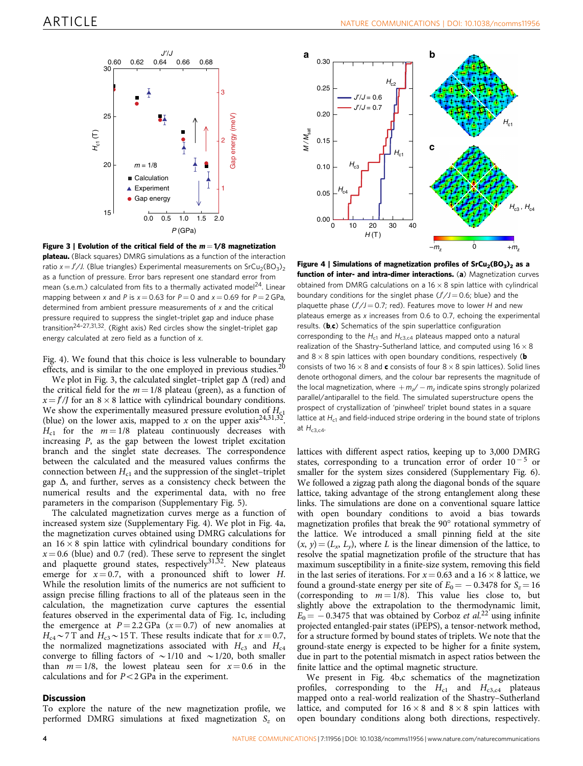<span id="page-3-0"></span>

Figure 3 | Evolution of the critical field of the  $m = 1/8$  magnetization plateau. (Black squares) DMRG simulations as a function of the interaction ratio  $x = J'/J$ . (Blue triangles) Experimental measurements on SrCu<sub>2</sub>(BO<sub>3</sub>)<sub>2</sub> as a function of pressure. Error bars represent one standard error from mean (s.e.m.) calculated from fits to a thermally activated model<sup>24</sup>. Linear mapping between x and P is  $x = 0.63$  for  $P = 0$  and  $x = 0.69$  for  $P = 2 \text{ GPa}$ , determined from ambient pressure measurements of  $x$  and the critical pressure required to suppress the singlet–triplet gap and induce phase transition[24–27,31,32.](#page-5-0) (Right axis) Red circles show the singlet–triplet gap energy calculated at zero field as a function of x.

Fig. 4). We found that this choice is less vulnerable to boundary effects, and is similar to the one employed in previous studies. $20$ 

We plot in Fig. 3, the calculated singlet–triplet gap  $\Delta$  (red) and the critical field for the  $m = 1/8$  plateau (green), as a function of  $x = J'/J$  for an  $8 \times 8$  lattice with cylindrical boundary conditions. We show the experimentally measured pressure evolution of  $H_{c1}$ (blue) on the lower axis, mapped to x on the upper  $axis^{24,31,32}$ .  $H_{c1}$  for the  $m = 1/8$  plateau continuously decreases with increasing P, as the gap between the lowest triplet excitation branch and the singlet state decreases. The correspondence between the calculated and the measured values confirms the connection between  $H_{c1}$  and the suppression of the singlet–triplet gap  $\Delta$ , and further, serves as a consistency check between the numerical results and the experimental data, with no free parameters in the comparison (Supplementary Fig. 5).

The calculated magnetization curves merge as a function of increased system size (Supplementary Fig. 4). We plot in Fig. 4a, the magnetization curves obtained using DMRG calculations for an  $16 \times 8$  spin lattice with cylindrical boundary conditions for  $x = 0.6$  (blue) and 0.7 (red). These serve to represent the singlet and plaquette ground states, respectively $31,32$ . New plateaus emerge for  $x = 0.7$ , with a pronounced shift to lower H. While the resolution limits of the numerics are not sufficient to assign precise filling fractions to all of the plateaus seen in the calculation, the magnetization curve captures the essential features observed in the experimental data of [Fig. 1c](#page-1-0), including the emergence at  $P = 2.2$  GPa  $(x = 0.7)$  of new anomalies at  $H_{c4}$  ~ 7 T and  $H_{c3}$  ~ 15 T. These results indicate that for  $x = 0.7$ , the normalized magnetizations associated with  $H_{c3}$  and  $H_{c4}$ converge to filling factors of  $\sim$  1/10 and  $\sim$  1/20, both smaller than  $m = 1/8$ , the lowest plateau seen for  $x = 0.6$  in the calculations and for  $P < 2$  GPa in the experiment.

#### **Discussion**

To explore the nature of the new magnetization profile, we performed DMRG simulations at fixed magnetization  $S_z$  on



Figure 4 | Simulations of magnetization profiles of  $SrCu<sub>2</sub>(BO<sub>3</sub>)<sub>2</sub>$  as a function of inter- and intra-dimer interactions. (a) Magnetization curves obtained from DMRG calculations on a  $16 \times 8$  spin lattice with cylindrical boundary conditions for the singlet phase  $(J'/J = 0.6;$  blue) and the plaquette phase  $(J'/J = 0.7;$  red). Features move to lower H and new plateaus emerge as x increases from 0.6 to 0.7, echoing the experimental results. ( $\mathbf{b}, \mathbf{c}$ ) Schematics of the spin superlattice configuration corresponding to the  $H_{c1}$  and  $H_{c3,c4}$  plateaus mapped onto a natural realization of the Shastry-Sutherland lattice, and computed using  $16 \times 8$ and  $8 \times 8$  spin lattices with open boundary conditions, respectively (b consists of two 16  $\times$  8 and c consists of four 8  $\times$  8 spin lattices). Solid lines denote orthogonal dimers, and the colour bar represents the magnitude of the local magnetization, where  $+m_z/ - m_z$  indicate spins strongly polarized parallel/antiparallel to the field. The simulated superstructure opens the prospect of crystallization of 'pinwheel' triplet bound states in a square lattice at  $H<sub>c1</sub>$  and field-induced stripe ordering in the bound state of triplons at  $H_{c3,c4}$ .

lattices with different aspect ratios, keeping up to 3,000 DMRG states, corresponding to a truncation error of order  $10^{-5}$  or smaller for the system sizes considered (Supplementary Fig. 6). We followed a zigzag path along the diagonal bonds of the square lattice, taking advantage of the strong entanglement along these links. The simulations are done on a conventional square lattice with open boundary conditions to avoid a bias towards magnetization profiles that break the 90° rotational symmetry of the lattice. We introduced a small pinning field at the site  $(x, y) = (L_x, L_y)$ , where L is the linear dimension of the lattice, to resolve the spatial magnetization profile of the structure that has maximum susceptibility in a finite-size system, removing this field in the last series of iterations. For  $x = 0.63$  and a 16  $\times$  8 lattice, we found a ground-state energy per site of  $E_0 = -0.3478$  for  $S_z = 16$ (corresponding to  $m = 1/8$ ). This value lies close to, but slightly above the extrapolation to the thermodynamic limit,  $E_0 = -0.3475$  that was obtained by Corboz et al.<sup>[22](#page-5-0)</sup> using infinite projected entangled-pair states (iPEPS), a tensor-network method, for a structure formed by bound states of triplets. We note that the ground-state energy is expected to be higher for a finite system, due in part to the potential mismatch in aspect ratios between the finite lattice and the optimal magnetic structure.

We present in Fig. 4b,c schematics of the magnetization profiles, corresponding to the  $H_{c1}$  and  $H_{c3,c4}$  plateaus mapped onto a real-world realization of the Shastry–Sutherland lattice, and computed for  $16 \times 8$  and  $8 \times 8$  spin lattices with open boundary conditions along both directions, respectively.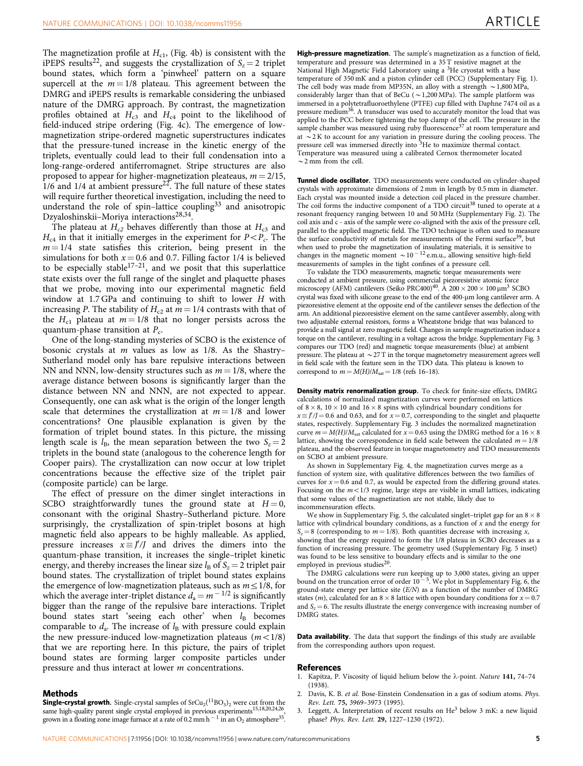<span id="page-4-0"></span>The magnetization profile at  $H_{c1}$ , ([Fig. 4b\)](#page-3-0) is consistent with the iPEPS results<sup>22</sup>, and suggests the crystallization of  $S_z = 2$  triplet bound states, which form a 'pinwheel' pattern on a square supercell at the  $m = 1/8$  plateau. This agreement between the DMRG and iPEPS results is remarkable considering the unbiased nature of the DMRG approach. By contrast, the magnetization profiles obtained at  $H_{c3}$  and  $H_{c4}$  point to the likelihood of field-induced stripe ordering [\(Fig. 4c\)](#page-3-0). The emergence of lowmagnetization stripe-ordered magnetic superstructures indicates that the pressure-tuned increase in the kinetic energy of the triplets, eventually could lead to their full condensation into a long-range-ordered antiferromagnet. Stripe structures are also proposed to appear for higher-magnetization pleateaus,  $m = 2/15$ ,  $1/6$  and  $1/4$  at ambient pressure<sup>[22](#page-5-0)</sup>. The full nature of these states will require further theoretical investigation, including the need to understand the role of spin–lattice coupling $33$  and anisotropic Dzyaloshinskii–Moriya interactions[28,34](#page-5-0).

The plateau at  $H_{c2}$  behaves differently than those at  $H_{c3}$  and  $H_{c4}$  in that it initially emerges in the experiment for  $P < P_c$ . The  $m = 1/4$  state satisfies this criterion, being present in the simulations for both  $x = 0.6$  and 0.7. Filling factor 1/4 is believed to be especially stable<sup>17–21</sup>, and we posit that this superlattice state exists over the full range of the singlet and plaquette phases that we probe, moving into our experimental magnetic field window at 1.7 GPa and continuing to shift to lower H with increasing P. The stability of  $H_{c2}$  at  $m = 1/4$  contrasts with that of the  $H_{c1}$  plateau at  $m = 1/8$  that no longer persists across the quantum-phase transition at  $P_c$ .

One of the long-standing mysteries of SCBO is the existence of bosonic crystals at  $m$  values as low as  $1/8$ . As the Shastry-Sutherland model only has bare repulsive interactions between NN and NNN, low-density structures such as  $m = 1/8$ , where the average distance between bosons is significantly larger than the distance between NN and NNN, are not expected to appear. Consequently, one can ask what is the origin of the longer length scale that determines the crystallization at  $m = 1/8$  and lower concentrations? One plausible explanation is given by the formation of triplet bound states. In this picture, the missing length scale is  $l_{\text{B}}$ , the mean separation between the two  $S_z = 2$ triplets in the bound state (analogous to the coherence length for Cooper pairs). The crystallization can now occur at low triplet concentrations because the effective size of the triplet pair (composite particle) can be large.

The effect of pressure on the dimer singlet interactions in SCBO straightforwardly tunes the ground state at  $H = 0$ , consonant with the original Shastry–Sutherland picture. More surprisingly, the crystallization of spin-triplet bosons at high magnetic field also appears to be highly malleable. As applied, pressure increases  $x \equiv J'/J$  and drives the dimers into the quantum-phase transition, it increases the single–triplet kinetic energy, and thereby increases the linear size  $l_B$  of  $S_z = 2$  triplet pair bound states. The crystallization of triplet bound states explains the emergence of low-magnetization plateaus, such as  $m \leq 1/8$ , for which the average inter-triplet distance  $d_a = m^{-1/2}$  is significantly bigger than the range of the repulsive bare interactions. Triplet bound states start 'seeing each other' when  $l_B$  becomes comparable to  $d_a$ . The increase of  $l_B$  with pressure could explain the new pressure-induced low-magnetization plateaus  $(m<1/8)$ that we are reporting here. In this picture, the pairs of triplet bound states are forming larger composite particles under pressure and thus interact at lower *m* concentrations.

#### Methods

**Single-crystal growth.** Single-crystal samples of  $\text{SrCu}_2(\text{^{11}BO}_3)_2$  were cut from the same high-quality parent single crystal employed in previous experiments<sup>15,18,20,24,26</sup>, grown in a floating zone image furnace at a rate of 0.2 mm h  $^{-1}$  in an O<sub>2</sub> atmosphere<sup>[35](#page-5-0)</sup>.

**High-pressure magnetization.** The sample's magnetization as a function of field, temperature and pressure was determined in a 35 T resistive magnet at the National High Magnetic Field Laboratory using a 3He cryostat with a base temperature of 350 mK and a piston cylinder cell (PCC) (Supplementary Fig. 1). The cell body was made from MP35N, an alloy with a strength  $\sim$  1,800 MPa, considerably larger than that of BeCu ( $\sim$  1,200 MPa). The sample platform was immersed in a polytetrafluoroethylene (PTFE) cup filled with Daphne 7474 oil as a pressure medium[36](#page-5-0). A transducer was used to accurately monitor the load that was applied to the PCC before tightening the top clamp of the cell. The pressure in the sample chamber was measured using ruby fluorescence<sup>[37](#page-5-0)</sup> at room temperature and at  $\sim$  2K to account for any variation in pressure during the cooling process. The pressure cell was immersed directly into <sup>3</sup>He to maximize thermal contact. Temperature was measured using a calibrated Cernox thermometer located  $\sim$  2 mm from the cell.

Tunnel diode oscillator. TDO measurements were conducted on cylinder-shaped crystals with approximate dimensions of 2 mm in length by 0.5 mm in diameter. Each crystal was mounted inside a detection coil placed in the pressure chamber. The coil forms the inductive component of a TDO circuit<sup>[38](#page-5-0)</sup> tuned to operate at a resonant frequency ranging between 10 and 50 MHz (Supplementary Fig. 2). The coil axis and c - axis of the sample were co-aligned with the axis of the pressure cell, parallel to the applied magnetic field. The TDO technique is often used to measure the surface conductivity of metals for measurements of the Fermi surface<sup>39</sup>, but when used to probe the magnetization of insulating materials, it is sensitive to changes in the magnetic moment  $\sim 10^{-12}$  e.m.u., allowing sensitive high-field measurements of samples in the tight confines of a pressure cell.

To validate the TDO measurements, magnetic torque measurements were conducted at ambient pressure, using commercial piezoresistive atomic force microscopy (AFM) cantilevers (Seiko PRC[40](#page-5-0)0)<sup>40</sup>. A  $200 \times 200 \times 100 \mu m^3$  SCBO crystal was fixed with silicone grease to the end of the 400-µm long cantilever arm. A piezoresistive element at the opposite end of the cantilever senses the deflection of the arm. An additional piezoresistive element on the same cantilever assembly, along with two adjustable external resistors, forms a Wheatstone bridge that was balanced to provide a null signal at zero magnetic field. Changes in sample magnetization induce a torque on the cantilever, resulting in a voltage across the bridge. Supplementary Fig. 3 compares our TDO (red) and magnetic torque measurements (blue) at ambient pressure. The plateau at  $\sim$  27 T in the torque magnetometry measurement agrees well in field scale with the feature seen in the TDO data. This plateau is known to correspond to  $m = M(H)/M<sub>sat</sub> = 1/8$  ([refs 16–18\)](#page-5-0).

Density matrix renormalization group. To check for finite-size effects, DMRG calculations of normalized magnetization curves were performed on lattices of  $8 \times 8$ ,  $10 \times 10$  and  $16 \times 8$  spins with cylindrical boundary conditions for  $x \equiv J/J = 0.6$  and 0.63, and for  $x = 0.7$ , corresponding to the singlet and plaquette states, respectively. Supplementary Fig. 3 includes the normalized magnetization curve  $m = M(H)/M<sub>sat</sub>$  calculated for  $x = 0.63$  using the DMRG method for a 16  $\times$  8 lattice, showing the correspondence in field scale between the calculated  $m = 1/8$ plateau, and the observed feature in torque magnetometry and TDO measurements on SCBO at ambient pressure.

As shown in Supplementary Fig. 4, the magnetization curves merge as a function of system size, with qualitative differences between the two families of curves for  $x = 0.6$  and 0.7, as would be expected from the differing ground states. Focusing on the  $m<1/3$  regime, large steps are visible in small lattices, indicating that some values of the magnetization are not stable, likely due to incommensuration effects.

We show in Supplementary Fig. 5, the calculated singlet-triplet gap for an  $8 \times 8$ lattice with cylindrical boundary conditions, as a function of  $x$  and the energy for  $S_z = 8$  (corresponding to  $m = 1/8$ ). Both quantities decrease with increasing x, showing that the energy required to form the 1/8 plateau in SCBO decreases as a function of increasing pressure. The geometry used (Supplementary Fig. 5 inset) was found to be less sensitive to boundary effects and is similar to the one employed in previous studies<sup>20</sup>.

The DMRG calculations were run keeping up to 3,000 states, giving an upper bound on the truncation error of order  $10^{-5}$ . We plot in Supplementary Fig. 6, the ground-state energy per lattice site  $(E/N)$  as a function of the number of DMRG states (*m*), calculated for an  $8 \times 8$  lattice with open boundary conditions for  $x = 0.7$ and  $S_z = 6$ . The results illustrate the energy convergence with increasing number of DMRG states.

Data availability. The data that support the findings of this study are available from the corresponding authors upon request.

#### References

- 1. Kapitza, P. Viscosity of liquid helium below the  $\lambda$ -point. Nature 141, 74-74 (1938).
- 2. Davis, K. B. et al. Bose-Einstein Condensation in a gas of sodium atoms. Phys. Rev. Lett. 75, 3969–3973 (1995).
- 3. Leggett, A. Interpretation of recent results on He<sup>3</sup> below 3 mK: a new liquid phase? Phys. Rev. Lett. 29, 1227–1230 (1972).